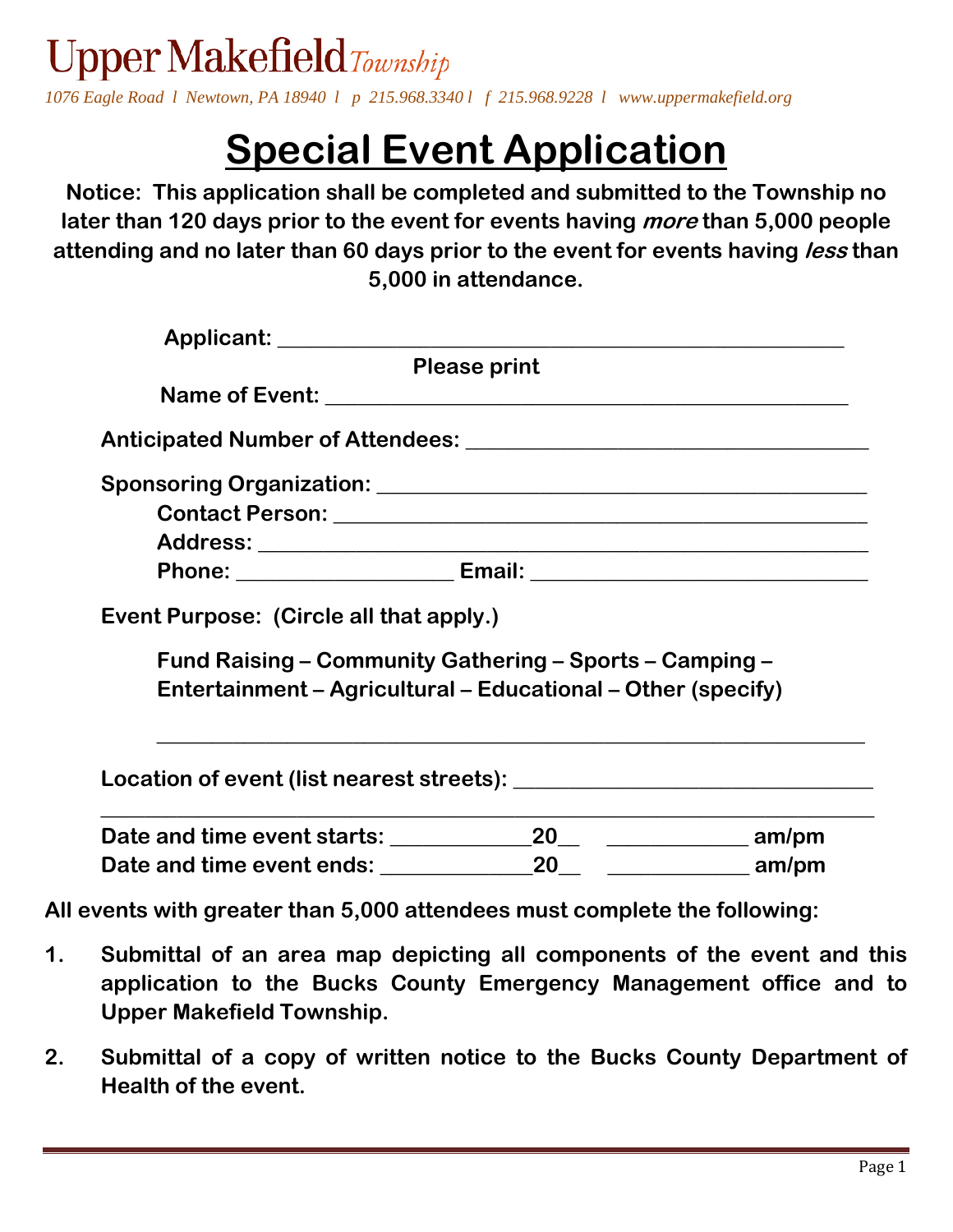Upper Makefield  $T_{\text{ownship}}$ *1076 Eagle Road l Newtown, PA 18940 l p 215.968.3340 l f 215.968.9228 l www.uppermakefield.org*

## **Special Event Application**

**Notice: This application shall be completed and submitted to the Township no later than 120 days prior to the event for events having more than 5,000 people attending and no later than 60 days prior to the event for events having less than 5,000 in attendance.** 

| Applicant: ________________________                                                                                     |                     |  |
|-------------------------------------------------------------------------------------------------------------------------|---------------------|--|
|                                                                                                                         | <b>Please print</b> |  |
|                                                                                                                         |                     |  |
|                                                                                                                         |                     |  |
|                                                                                                                         |                     |  |
|                                                                                                                         |                     |  |
|                                                                                                                         |                     |  |
|                                                                                                                         |                     |  |
| Event Purpose: (Circle all that apply.)                                                                                 |                     |  |
| Fund Raising - Community Gathering - Sports - Camping -<br>Entertainment – Agricultural – Educational – Other (specify) |                     |  |
|                                                                                                                         |                     |  |
|                                                                                                                         |                     |  |
| Date and time event ends: ___________                                                                                   | 20                  |  |

**All events with greater than 5,000 attendees must complete the following:**

- **1. Submittal of an area map depicting all components of the event and this application to the Bucks County Emergency Management office and to Upper Makefield Township.**
- **2. Submittal of a copy of written notice to the Bucks County Department of Health of the event.**